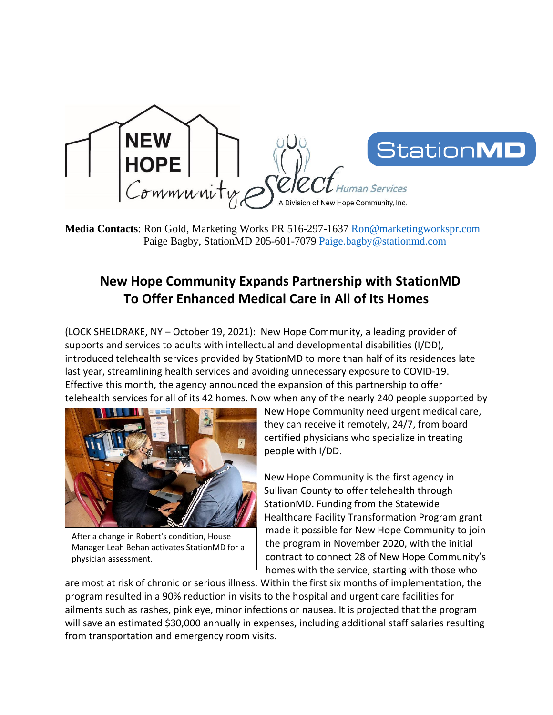

**Media Contacts**: Ron Gold, Marketing Works PR 516-297-1637 [Ron@marketingworkspr.com](mailto:Ron@marketingworkspr.com) Paige Bagby, StationMD 205-601-7079 [Paige.bagby@stationmd.com](mailto:Paige.bagby@stationmd.com)

## **New Hope Community Expands Partnership with StationMD To Offer Enhanced Medical Care in All of Its Homes**

(LOCK SHELDRAKE, NY – October 19, 2021): New Hope Community, a leading provider of supports and services to adults with intellectual and developmental disabilities (I/DD), introduced telehealth services provided by StationMD to more than half of its residences late last year, streamlining health services and avoiding unnecessary exposure to COVID-19. Effective this month, the agency announced the expansion of this partnership to offer telehealth services for all of its 42 homes. Now when any of the nearly 240 people supported by



After a change in Robert's condition, House Manager Leah Behan activates StationMD for a physician assessment.

New Hope Community need urgent medical care, they can receive it remotely, 24/7, from board certified physicians who specialize in treating people with I/DD.

New Hope Community is the first agency in Sullivan County to offer telehealth through StationMD. Funding from the Statewide Healthcare Facility Transformation Program grant made it possible for New Hope Community to join the program in November 2020, with the initial contract to connect 28 of New Hope Community's homes with the service, starting with those who

are most at risk of chronic or serious illness. Within the first six months of implementation, the program resulted in a 90% reduction in visits to the hospital and urgent care facilities for ailments such as rashes, pink eye, minor infections or nausea. It is projected that the program will save an estimated \$30,000 annually in expenses, including additional staff salaries resulting from transportation and emergency room visits.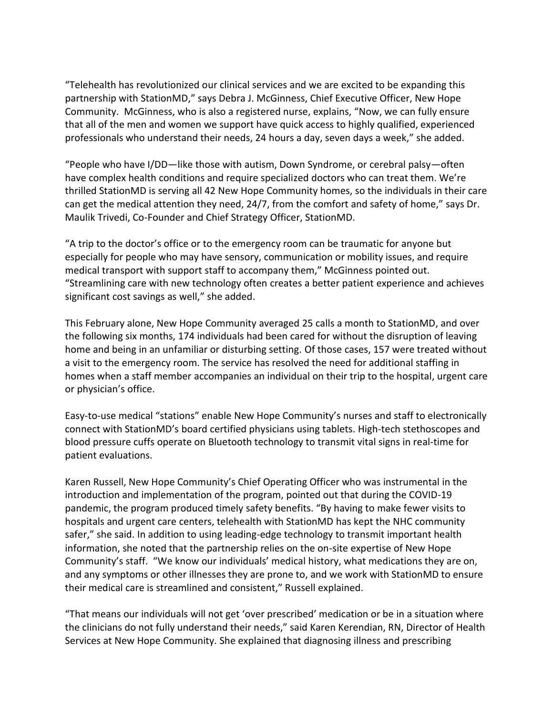"Telehealth has revolutionized our clinical services and we are excited to be expanding this partnership with StationMD," says Debra J. McGinness, Chief Executive Officer, New Hope Community. McGinness, who is also a registered nurse, explains, "Now, we can fully ensure that all of the men and women we support have quick access to highly qualified, experienced professionals who understand their needs, 24 hours a day, seven days a week," she added.

"People who have I/DD—like those with autism, Down Syndrome, or cerebral palsy—often have complex health conditions and require specialized doctors who can treat them. We're thrilled StationMD is serving all 42 New Hope Community homes, so the individuals in their care can get the medical attention they need, 24/7, from the comfort and safety of home," says Dr. Maulik Trivedi, Co-Founder and Chief Strategy Officer, StationMD.

"A trip to the doctor's office or to the emergency room can be traumatic for anyone but especially for people who may have sensory, communication or mobility issues, and require medical transport with support staff to accompany them," McGinness pointed out. "Streamlining care with new technology often creates a better patient experience and achieves significant cost savings as well," she added.

This February alone, New Hope Community averaged 25 calls a month to StationMD, and over the following six months, 174 individuals had been cared for without the disruption of leaving home and being in an unfamiliar or disturbing setting. Of those cases, 157 were treated without a visit to the emergency room. The service has resolved the need for additional staffing in homes when a staff member accompanies an individual on their trip to the hospital, urgent care or physician's office.

Easy-to-use medical "stations" enable New Hope Community's nurses and staff to electronically connect with StationMD's board certified physicians using tablets. High-tech stethoscopes and blood pressure cuffs operate on Bluetooth technology to transmit vital signs in real-time for patient evaluations.

Karen Russell, New Hope Community's Chief Operating Officer who was instrumental in the introduction and implementation of the program, pointed out that during the COVID-19 pandemic, the program produced timely safety benefits. "By having to make fewer visits to hospitals and urgent care centers, telehealth with StationMD has kept the NHC community safer," she said. In addition to using leading-edge technology to transmit important health information, she noted that the partnership relies on the on-site expertise of New Hope Community's staff. "We know our individuals' medical history, what medications they are on, and any symptoms or other illnesses they are prone to, and we work with StationMD to ensure their medical care is streamlined and consistent," Russell explained.

"That means our individuals will not get 'over prescribed' medication or be in a situation where the clinicians do not fully understand their needs," said Karen Kerendian, RN, Director of Health Services at New Hope Community. She explained that diagnosing illness and prescribing